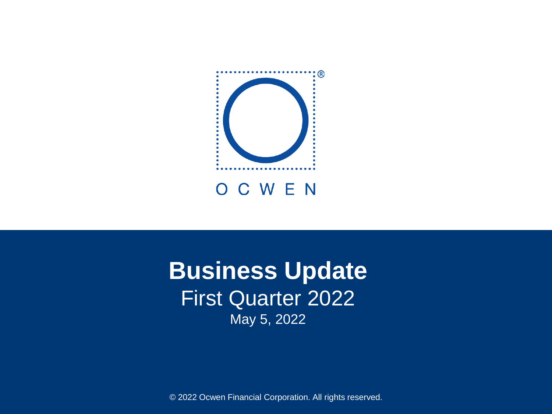

# **Business Update** First Quarter 2022 May 5, 2022

© 2022 Ocwen Financial Corporation. All rights reserved.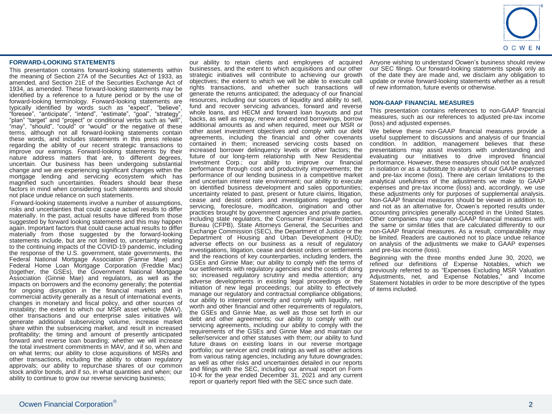

#### **FORWARD-LOOKING STATEMENTS**

This presentation contains forward-looking statements within the meaning of Section 27A of the Securities Act of 1933, as amended, and Section 21E of the Securities Exchange Act of 1934, as amended. These forward-looking statements may be identified by a reference to a future period or by the use of forward-looking terminology. Forward-looking statements are typically identified by words such as "expect", "believe", "foresee", "anticipate", "intend", "estimate", "goal", "strategy", "plan" "target" and "project" or conditional verbs such as "will", "may", "should", "could" or "would" or the negative of these terms, although not all forward-looking statements contain these words, and includes statements in this press release regarding the ability of our recent strategic transactions to improve our earnings. Forward-looking statements by their nature address matters that are, to different degrees, uncertain. Our business has been undergoing substantial change and we are experiencing significant changes within the mortgage lending and servicing ecosystem which has magnified such uncertainties. Readers should bear these factors in mind when considering such statements and should not place undue reliance on such statements.

Forward-looking statements involve a number of assumptions, risks and uncertainties that could cause actual results to differ materially. In the past, actual results have differed from those suggested by forward looking statements and this may happen again. Important factors that could cause actual results to differ materially from those suggested by the forward-looking statements include, but are not limited to, uncertainty relating to the continuing impacts of the COVID-19 pandemic, including the response of the U.S. government, state governments, the Federal National Mortgage Association (Fannie Mae) and Federal Home Loan Mortgage Corporation (Freddie Mac) (together, the GSEs), the Government National Mortgage Association (Ginnie Mae) and regulators, as well as the impacts on borrowers and the economy generally; the potential for ongoing disruption in the financial markets and in commercial activity generally as a result of international events, changes in monetary and fiscal policy, and other sources of instability; the extent to which our MSR asset vehicle (MAV), other transactions and our enterprise sales initiatives will generate additional subservicing volume, increase market share within the subservicing market, and result in increased profitability; the timing and amount of presently anticipated forward and reverse loan boarding; whether we will increase the total investment commitments in MAV, and if so, when and on what terms; our ability to close acquisitions of MSRs and other transactions, including the ability to obtain regulatory approvals; our ability to repurchase shares of our common stock and/or bonds, and if so, in what quantities and when; our ability to continue to grow our reverse servicing business;

our ability to retain clients and employees of acquired businesses, and the extent to which acquisitions and our other strategic initiatives will contribute to achieving our growth objectives; the extent to which we will be able to execute call rights transactions, and whether such transactions will generate the returns anticipated; the adequacy of our financial resources, including our sources of liquidity and ability to sell, fund and recover servicing advances, forward and reverse whole loans, and HECM and forward loan buyouts and put backs, as well as repay, renew and extend borrowings, borrow additional amounts as and when required, meet our MSR or other asset investment objectives and comply with our debt agreements, including the financial and other covenants contained in them; increased servicing costs based on increased borrower delinquency levels or other factors; the future of our long-term relationship with New Residential Investment Corp.; our ability to improve our financial performance through cost and productivity improvements; the performance of our lending business in a competitive market and uncertain interest rate environment; our ability to execute on identified business development and sales opportunities; uncertainty related to past, present or future claims, litigation, cease and desist orders and investigations regarding our servicing, foreclosure, modification, origination and other practices brought by government agencies and private parties, including state regulators, the Consumer Financial Protection Bureau (CFPB), State Attorneys General, the Securities and Exchange Commission (SEC), the Department of Justice or the Department of Housing and Urban Development (HUD); adverse effects on our business as a result of regulatory investigations, litigation, cease and desist orders or settlements and the reactions of key counterparties, including lenders, the GSEs and Ginnie Mae; our ability to comply with the terms of our settlements with regulatory agencies and the costs of doing so; increased regulatory scrutiny and media attention; any adverse developments in existing legal proceedings or the initiation of new legal proceedings; our ability to effectively manage our regulatory and contractual compliance obligations; our ability to interpret correctly and comply with liquidity, net worth and other financial and other requirements of regulators, the GSEs and Ginnie Mae, as well as those set forth in our debt and other agreements; our ability to comply with our servicing agreements, including our ability to comply with the requirements of the GSEs and Ginnie Mae and maintain our seller/servicer and other statuses with them; our ability to fund future draws on existing loans in our reverse mortgage portfolio; our servicer and credit ratings as well as other actions from various rating agencies, including any future downgrades; as well as other risks and uncertainties detailed in our reports and filings with the SEC, including our annual report on Form 10-K for the year ended December 31, 2021 and any current report or quarterly report filed with the SEC since such date.

Anyone wishing to understand Ocwen's business should review our SEC filings. Our forward-looking statements speak only as of the date they are made and, we disclaim any obligation to update or revise forward-looking statements whether as a result of new information, future events or otherwise.

#### **NON-GAAP FINANCIAL MEASURES**

This presentation contains references to non-GAAP financial measures, such as our references to adjusted pre-tax income (loss) and adjusted expenses.

We believe these non-GAAP financial measures provide a useful supplement to discussions and analysis of our financial condition. In addition, management believes that these presentations may assist investors with understanding and evaluating our initiatives to drive improved financial performance. However, these measures should not be analyzed in isolation or as a substitute to analysis of our GAAP expenses and pre-tax income (loss). There are certain limitations to the analytical usefulness of the adjustments we make to GAAP expenses and pre-tax income (loss) and, accordingly, we use these adjustments only for purposes of supplemental analysis. Non-GAAP financial measures should be viewed in addition to, and not as an alternative for, Ocwen's reported results under accounting principles generally accepted in the United States. Other companies may use non-GAAP financial measures with the same or similar titles that are calculated differently to our non-GAAP financial measures. As a result, comparability may be limited. Readers are cautioned not to place undue reliance on analysis of the adjustments we make to GAAP expenses and pre-tax income (loss).

Beginning with the three months ended June 30, 2020, we refined our definitions of Expense Notables, which we previously referred to as "Expenses Excluding MSR Valuation Adjustments, net, and Expense Notables," and Income Statement Notables in order to be more descriptive of the types of items included.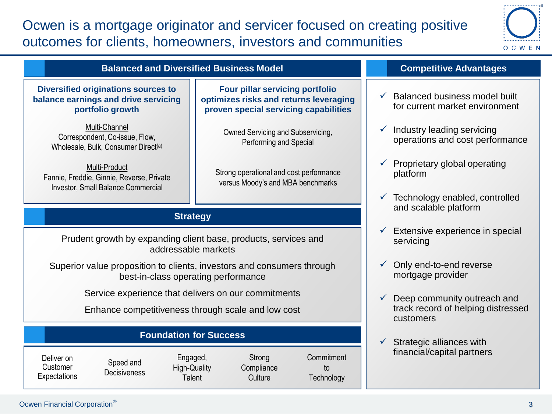## Ocwen is a mortgage originator and servicer focused on creating positive outcomes for clients, homeowners, investors and communities



| <b>Balanced and Diversified Business Model</b>                                                                                                                                   | <b>Competitive Advantages</b>                                                                                             |                                                                                 |
|----------------------------------------------------------------------------------------------------------------------------------------------------------------------------------|---------------------------------------------------------------------------------------------------------------------------|---------------------------------------------------------------------------------|
| <b>Diversified originations sources to</b><br>balance earnings and drive servicing<br>portfolio growth                                                                           | <b>Four pillar servicing portfolio</b><br>optimizes risks and returns leveraging<br>proven special servicing capabilities | Balanced business model built<br>$\checkmark$<br>for current market environment |
| Multi-Channel<br>Correspondent, Co-issue, Flow,<br>Wholesale, Bulk, Consumer Direct <sup>(a)</sup>                                                                               | Owned Servicing and Subservicing,<br>Performing and Special                                                               | Industry leading servicing<br>operations and cost performance                   |
| Multi-Product<br>Strong operational and cost performance<br>Fannie, Freddie, Ginnie, Reverse, Private<br>versus Moody's and MBA benchmarks<br>Investor, Small Balance Commercial |                                                                                                                           | Proprietary global operating<br>platform                                        |
|                                                                                                                                                                                  | Technology enabled, controlled                                                                                            |                                                                                 |
| <b>Strategy</b>                                                                                                                                                                  | and scalable platform                                                                                                     |                                                                                 |
| Prudent growth by expanding client base, products, services and<br>addressable markets                                                                                           | Extensive experience in special<br>servicing                                                                              |                                                                                 |
| Superior value proposition to clients, investors and consumers through<br>best-in-class operating performance                                                                    | Only end-to-end reverse<br>mortgage provider                                                                              |                                                                                 |
| Service experience that delivers on our commitments                                                                                                                              | Deep community outreach and                                                                                               |                                                                                 |
| Enhance competitiveness through scale and low cost                                                                                                                               | track record of helping distressed<br>customers                                                                           |                                                                                 |
| <b>Foundation for Success</b>                                                                                                                                                    |                                                                                                                           | Strategic alliances with<br>✓                                                   |

Deliver on **Customer Expectations** 

Speed and **Decisiveness** 

Engaged, High-Quality **Talent Compliance** 

Strong

**Culture** 

**Commitment** to **Technology** 

financial/capital partners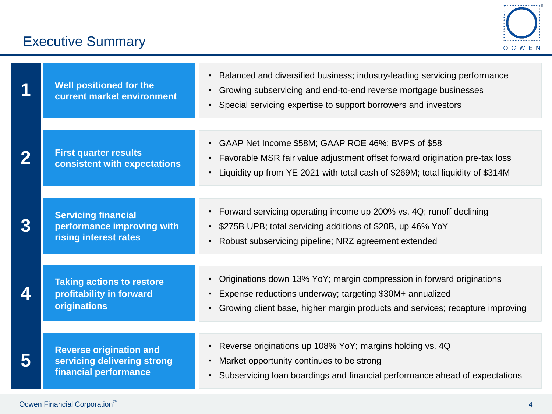# Executive Summary



|                  | <b>Well positioned for the</b><br>current market environment                           | Balanced and diversified business; industry-leading servicing performance<br>Growing subservicing and end-to-end reverse mortgage businesses<br>• Special servicing expertise to support borrowers and investors     |
|------------------|----------------------------------------------------------------------------------------|----------------------------------------------------------------------------------------------------------------------------------------------------------------------------------------------------------------------|
|                  | <b>First quarter results</b><br>consistent with expectations                           | • GAAP Net Income \$58M; GAAP ROE 46%; BVPS of \$58<br>Favorable MSR fair value adjustment offset forward origination pre-tax loss<br>Liquidity up from YE 2021 with total cash of \$269M; total liquidity of \$314M |
|                  | <b>Servicing financial</b><br>performance improving with<br>rising interest rates      | Forward servicing operating income up 200% vs. 4Q; runoff declining<br>$\bullet$<br>\$275B UPB; total servicing additions of \$20B, up 46% YoY<br>Robust subservicing pipeline; NRZ agreement extended               |
| $\blacktriangle$ | <b>Taking actions to restore</b><br>profitability in forward<br>originations           | • Originations down 13% YoY; margin compression in forward originations<br>Expense reductions underway; targeting \$30M+ annualized<br>Growing client base, higher margin products and services; recapture improving |
|                  | <b>Reverse origination and</b><br>servicing delivering strong<br>financial performance | Reverse originations up 108% YoY; margins holding vs. 4Q<br>$\bullet$<br>Market opportunity continues to be strong<br>Subservicing loan boardings and financial performance ahead of expectations                    |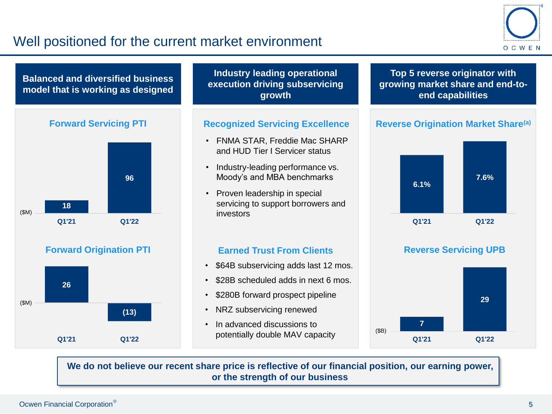## Well positioned for the current market environment











**Industry leading operational execution driving subservicing growth**

### **Recognized Servicing Excellence**

- FNMA STAR, Freddie Mac SHARP and HUD Tier I Servicer status
- Industry-leading performance vs. Moody's and MBA benchmarks
- Proven leadership in special servicing to support borrowers and investors

### **Earned Trust From Clients <b>Reverse Servicing UPB**

- \$64B subservicing adds last 12 mos.
- \$28B scheduled adds in next 6 mos.
- \$280B forward prospect pipeline
- NRZ subservicing renewed
- In advanced discussions to potentially double MAV capacity

### **Top 5 reverse originator with growing market share and end-toend capabilities**

### **Reverse Origination Market Share(a)**





**We do not believe our recent share price is reflective of our financial position, our earning power, or the strength of our business**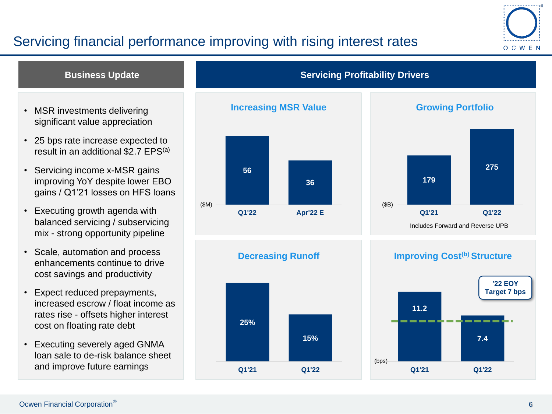## Servicing financial performance improving with rising interest rates



### **Business Update Servicing Profitability Drivers**

- **MSR investments delivering The Little State State Increasing MSR Value Growing Portfolio** significant value appreciation
- 25 bps rate increase expected to result in an additional \$2.7 EPS(a)
- Servicing income x-MSR gains improving YoY despite lower EBO gains / Q1'21 losses on HFS loans
- Executing growth agenda with balanced servicing / subservicing mix - strong opportunity pipeline
- Scale, automation and process enhancements continue to drive cost savings and productivity
- Expect reduced prepayments, increased escrow / float income as rates rise - offsets higher interest cost on floating rate debt
- Executing severely aged GNMA loan sale to de-risk balance sheet and improve future earnings





### **Decreasing Runoff**



### **Improving Cost(b) Structure**

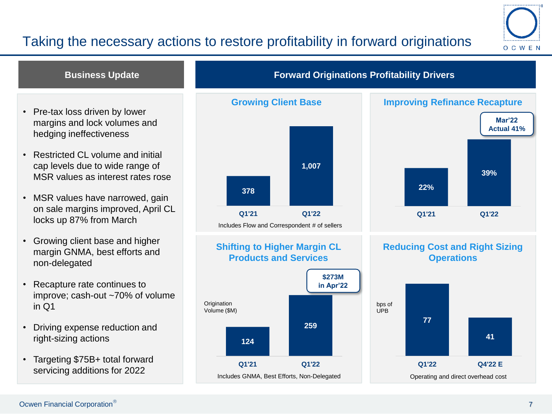## Taking the necessary actions to restore profitability in forward originations



### **Business Update**

- Pre-tax loss driven by lower margins and lock volumes and hedging ineffectiveness
- Restricted CL volume and initial cap levels due to wide range of MSR values as interest rates rose
- MSR values have narrowed, gain on sale margins improved, April CL locks up 87% from March
- Growing client base and higher margin GNMA, best efforts and non-delegated
- Recapture rate continues to improve; cash-out ~70% of volume in Q1
- Driving expense reduction and right-sizing actions
- Targeting \$75B+ total forward servicing additions for 2022



### **Shifting to Higher Margin CL Products and Services**



### **Forward Originations Profitability Drivers**



### **Reducing Cost and Right Sizing Operations**

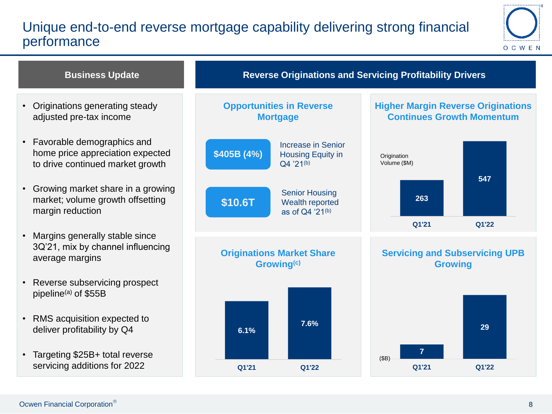## Unique end-to-end reverse mortgage capability delivering strong financial performance



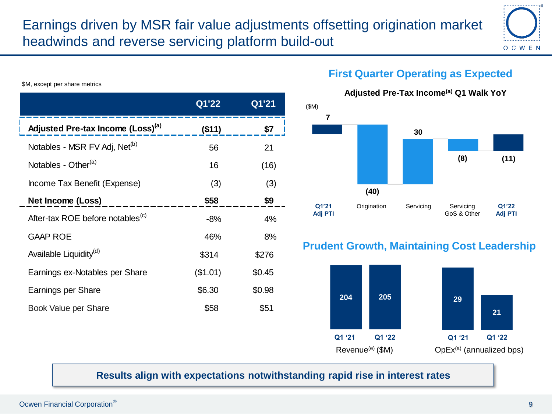

\$M, except per share metrics

|                                               | Q1'22    | Q1'21  | (SM) |
|-----------------------------------------------|----------|--------|------|
| Adjusted Pre-tax Income (Loss) <sup>(a)</sup> | (\$11)   | \$7    |      |
| Notables - MSR FV Adj, Net <sup>(b)</sup>     | 56       | 21     |      |
| Notables - Other <sup>(a)</sup>               | 16       | (16)   |      |
| Income Tax Benefit (Expense)                  | (3)      | (3)    |      |
| Net Income (Loss)                             | \$58     | \$9    |      |
| After-tax ROE before notables <sup>(c)</sup>  | $-8%$    | 4%     | A    |
| <b>GAAP ROE</b>                               | 46%      | 8%     |      |
| Available Liquidity <sup>(d)</sup>            | \$314    | \$276  | Pru  |
| Earnings ex-Notables per Share                | (\$1.01) | \$0.45 |      |
| Earnings per Share                            | \$6.30   | \$0.98 |      |
| Book Value per Share                          | \$58     | \$51   |      |

## **First Quarter Operating as Expected**



## **Prudent Growth, Maintaining Cost Leadership**



### **Results align with expectations notwithstanding rapid rise in interest rates**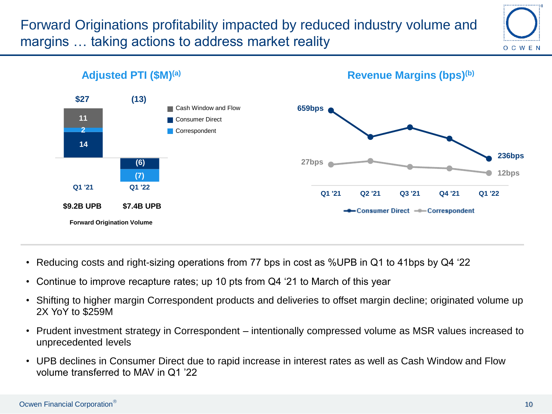Forward Originations profitability impacted by reduced industry volume and margins … taking actions to address market reality





- Reducing costs and right-sizing operations from 77 bps in cost as %UPB in Q1 to 41bps by Q4 '22
- Continue to improve recapture rates; up 10 pts from Q4 '21 to March of this year
- Shifting to higher margin Correspondent products and deliveries to offset margin decline; originated volume up 2X YoY to \$259M
- Prudent investment strategy in Correspondent intentionally compressed volume as MSR values increased to unprecedented levels
- UPB declines in Consumer Direct due to rapid increase in interest rates as well as Cash Window and Flow volume transferred to MAV in Q1 '22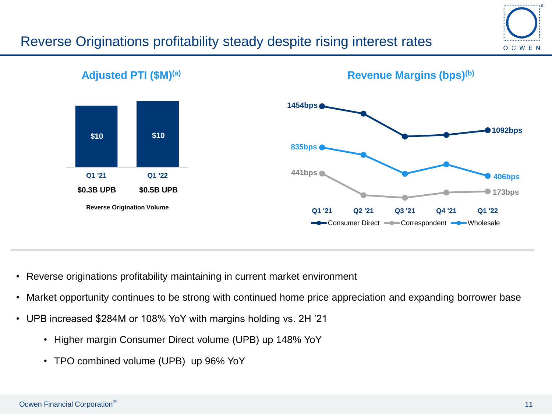## Reverse Originations profitability steady despite rising interest rates





- Reverse originations profitability maintaining in current market environment
- Market opportunity continues to be strong with continued home price appreciation and expanding borrower base
- UPB increased \$284M or 108% YoY with margins holding vs. 2H '21
	- Higher margin Consumer Direct volume (UPB) up 148% YoY
	- TPO combined volume (UPB) up 96% YoY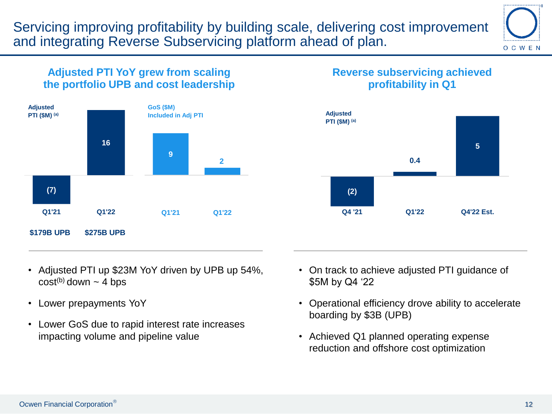Servicing improving profitability by building scale, delivering cost improvement and integrating Reverse Subservicing platform ahead of plan.



### **Adjusted PTI YoY grew from scaling the portfolio UPB and cost leadership**



### **Reverse subservicing achieved profitability in Q1**



- Adjusted PTI up \$23M YoY driven by UPB up 54%,  $cost^{(b)}$  down  $\sim$  4 bps
- Lower prepayments YoY
- Lower GoS due to rapid interest rate increases impacting volume and pipeline value
- On track to achieve adjusted PTI guidance of \$5M by Q4 '22
- Operational efficiency drove ability to accelerate boarding by \$3B (UPB)
- Achieved Q1 planned operating expense reduction and offshore cost optimization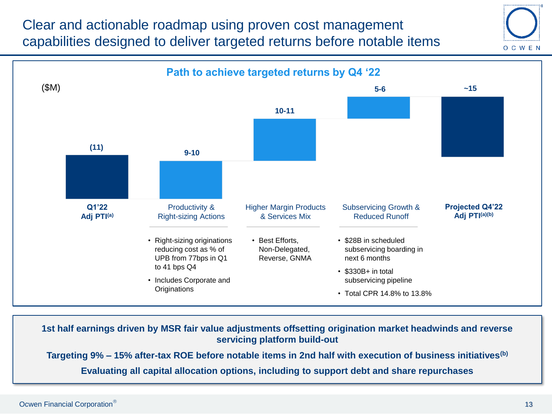Clear and actionable roadmap using proven cost management capabilities designed to deliver targeted returns before notable items





• 1st half earnings driven by MSR fair value adjustments offsetting origination **1st half earnings driven by MSR fair value adjustments offsetting origination market headwinds and reverse**  market headwinds and reverse servicing platform build-out **servicing platform build-out**

Targeting 9% – 15% after-tax ROE before notable items in 2nd half with execution of business initiatives<sup>(b)</sup>

**Evaluating all capital allocation options, including to support debt and share repurchases**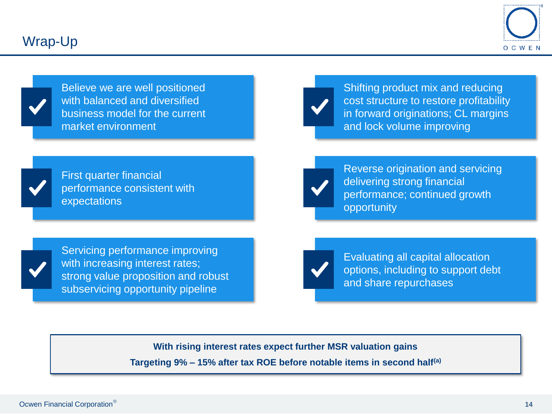

Believe we are well positioned with balanced and diversified business model for the current market environment



Shifting product mix and reducing cost structure to restore profitability in forward originations; CL margins and lock volume improving



First quarter financial performance consistent with expectations



Reverse origination and servicing delivering strong financial performance; continued growth opportunity

Servicing performance improving with increasing interest rates; strong value proposition and robust subservicing opportunity pipeline



Evaluating all capital allocation options, including to support debt and share repurchases

**With rising interest rates expect further MSR valuation gains**

**Targeting 9% – 15% after tax ROE before notable items in second half(a)**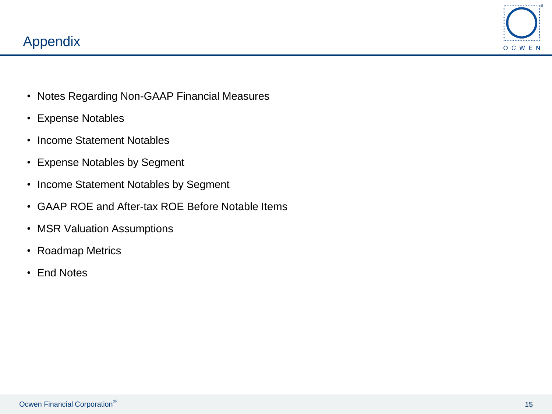

- Notes Regarding Non-GAAP Financial Measures
- Expense Notables
- Income Statement Notables
- Expense Notables by Segment
- Income Statement Notables by Segment
- GAAP ROE and After-tax ROE Before Notable Items
- MSR Valuation Assumptions
- Roadmap Metrics
- End Notes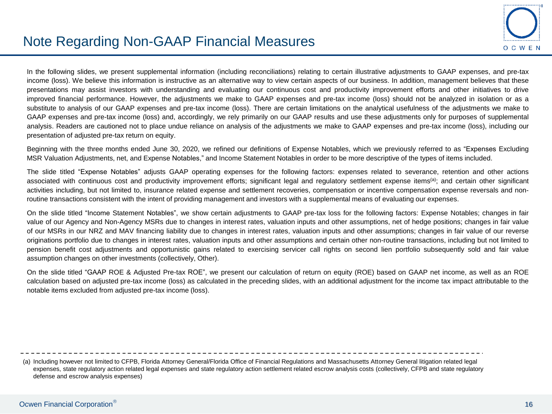

In the following slides, we present supplemental information (including reconciliations) relating to certain illustrative adjustments to GAAP expenses, and pre-tax income (loss). We believe this information is instructive as an alternative way to view certain aspects of our business. In addition, management believes that these presentations may assist investors with understanding and evaluating our continuous cost and productivity improvement efforts and other initiatives to drive improved financial performance. However, the adjustments we make to GAAP expenses and pre-tax income (loss) should not be analyzed in isolation or as a substitute to analysis of our GAAP expenses and pre-tax income (loss). There are certain limitations on the analytical usefulness of the adjustments we make to GAAP expenses and pre-tax income (loss) and, accordingly, we rely primarily on our GAAP results and use these adjustments only for purposes of supplemental analysis. Readers are cautioned not to place undue reliance on analysis of the adjustments we make to GAAP expenses and pre-tax income (loss), including our presentation of adjusted pre-tax return on equity.

Beginning with the three months ended June 30, 2020, we refined our definitions of Expense Notables, which we previously referred to as "Expenses Excluding MSR Valuation Adjustments, net, and Expense Notables," and Income Statement Notables in order to be more descriptive of the types of items included.

The slide titled "Expense Notables" adjusts GAAP operating expenses for the following factors: expenses related to severance, retention and other actions associated with continuous cost and productivity improvement efforts; significant legal and regulatory settlement expense items<sup>(a)</sup>; and certain other significant activities including, but not limited to, insurance related expense and settlement recoveries, compensation or incentive compensation expense reversals and nonroutine transactions consistent with the intent of providing management and investors with a supplemental means of evaluating our expenses.

On the slide titled "Income Statement Notables", we show certain adjustments to GAAP pre-tax loss for the following factors: Expense Notables; changes in fair value of our Agency and Non-Agency MSRs due to changes in interest rates, valuation inputs and other assumptions, net of hedge positions; changes in fair value of our MSRs in our NRZ and MAV financing liability due to changes in interest rates, valuation inputs and other assumptions; changes in fair value of our reverse originations portfolio due to changes in interest rates, valuation inputs and other assumptions and certain other non-routine transactions, including but not limited to pension benefit cost adjustments and opportunistic gains related to exercising servicer call rights on second lien portfolio subsequently sold and fair value assumption changes on other investments (collectively, Other).

On the slide titled "GAAP ROE & Adjusted Pre-tax ROE", we present our calculation of return on equity (ROE) based on GAAP net income, as well as an ROE calculation based on adjusted pre-tax income (loss) as calculated in the preceding slides, with an additional adjustment for the income tax impact attributable to the notable items excluded from adjusted pre-tax income (loss).

(a) Including however not limited to CFPB, Florida Attorney General/Florida Office of Financial Regulations and Massachusetts Attorney General litigation related legal expenses, state regulatory action related legal expenses and state regulatory action settlement related escrow analysis costs (collectively, CFPB and state regulatory defense and escrow analysis expenses)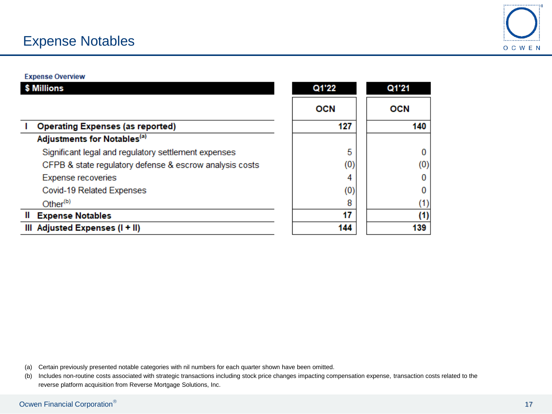## Expense Notables



#### **Expense Overview**

| Millions                                                | Q1'22      | Q1'21      |
|---------------------------------------------------------|------------|------------|
|                                                         | <b>OCN</b> | <b>OCN</b> |
| <b>Operating Expenses (as reported)</b>                 | 127        | 140        |
| Adjustments for Notables <sup>(a)</sup>                 |            |            |
| Significant legal and regulatory settlement expenses    | 5          |            |
| CFPB & state regulatory defense & escrow analysis costs | (0)        | (0)        |
| Expense recoveries                                      | 4          |            |
| Covid-19 Related Expenses                               | (0)        |            |
| Other <sup>(b)</sup>                                    | 8          |            |
| <b>Expense Notables</b>                                 | 17         | (1)        |
| III Adjusted Expenses (I + II)                          | 144        | 139        |

(a) Certain previously presented notable categories with nil numbers for each quarter shown have been omitted.

(b) Includes non-routine costs associated with strategic transactions including stock price changes impacting compensation expense, transaction costs related to the reverse platform acquisition from Reverse Mortgage Solutions, Inc.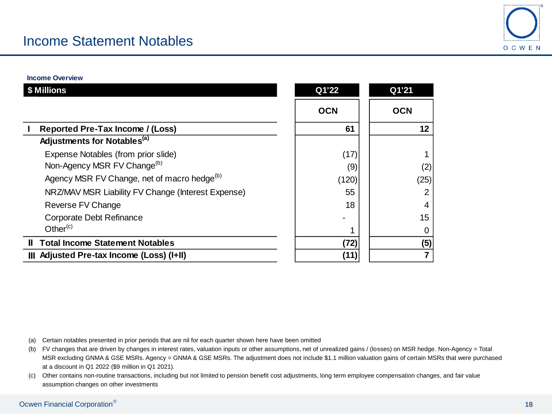

**Income Overview**

| \$ Millions                                             | Q1'22      | Q1'21      |
|---------------------------------------------------------|------------|------------|
|                                                         | <b>OCN</b> | <b>OCN</b> |
| <b>Reported Pre-Tax Income / (Loss)</b>                 | 61         | 12         |
| Adjustments for Notables <sup>(a)</sup>                 |            |            |
| Expense Notables (from prior slide)                     | (17)       |            |
| Non-Agency MSR FV Change <sup>(b)</sup>                 | (9)        | (2)        |
| Agency MSR FV Change, net of macro hedge <sup>(b)</sup> | (120)      | (25)       |
| NRZ/MAV MSR Liability FV Change (Interest Expense)      | 55         |            |
| Reverse FV Change                                       | 18         | 4          |
| Corporate Debt Refinance                                |            | 15         |
| Other $(c)$                                             |            |            |
| <b>II</b> Total Income Statement Notables               | (72)       | (5)        |
| III Adjusted Pre-tax Income (Loss) (I+II)               | (11)       |            |

(a) Certain notables presented in prior periods that are nil for each quarter shown here have been omitted

(b) FV changes that are driven by changes in interest rates, valuation inputs or other assumptions, net of unrealized gains / (losses) on MSR hedge. Non-Agency = Total MSR excluding GNMA & GSE MSRs. Agency = GNMA & GSE MSRs. The adjustment does not include \$1.1 million valuation gains of certain MSRs that were purchased at a discount in Q1 2022 (\$9 million in Q1 2021).

(c) Other contains non-routine transactions, including but not limited to pension benefit cost adjustments, long term employee compensation changes, and fair value assumption changes on other investments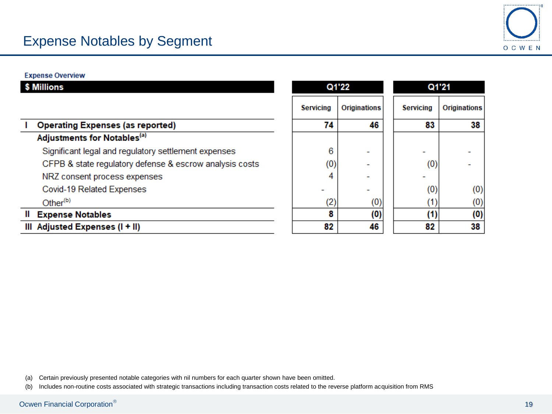

**Expense Overview** 

| \$ Millions                                             |                  | Q1'22        |                  | Q1'21        |
|---------------------------------------------------------|------------------|--------------|------------------|--------------|
|                                                         | <b>Servicing</b> | Originations | <b>Servicing</b> | Originations |
| <b>Operating Expenses (as reported)</b>                 | 74               | 46           | 83               | 38           |
| Adjustments for Notables <sup>(a)</sup>                 |                  |              |                  |              |
| Significant legal and regulatory settlement expenses    | 6                |              |                  |              |
| CFPB & state regulatory defense & escrow analysis costs | (0)              |              | (0)              |              |
| NRZ consent process expenses                            | 4                |              |                  |              |
| Covid-19 Related Expenses                               |                  |              | (0)              | (0)          |
| Other <sup>(b)</sup>                                    | (2)              | (0)          | (1)              | (0)          |
| <b>Expense Notables</b>                                 | 8                | (0)          | (1)              | (0)          |
| III Adjusted Expenses (I + II)                          | 82               | 46           | 82               | 38           |

(a) Certain previously presented notable categories with nil numbers for each quarter shown have been omitted.

(b) Includes non-routine costs associated with strategic transactions including transaction costs related to the reverse platform acquisition from RMS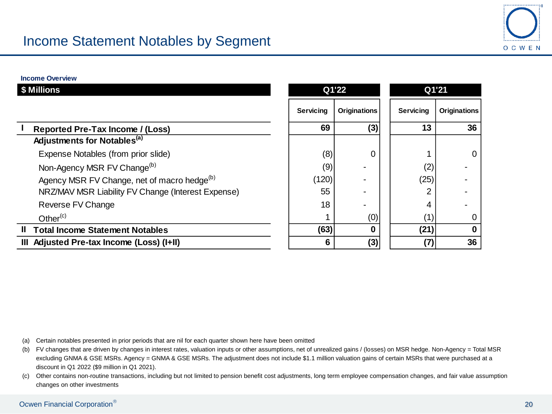

**Income Overview**

| \$ Millions                                             |                  | Q1'22               | Q1'21            |                     |  |
|---------------------------------------------------------|------------------|---------------------|------------------|---------------------|--|
|                                                         | <b>Servicing</b> | <b>Originations</b> | <b>Servicing</b> | <b>Originations</b> |  |
| Reported Pre-Tax Income / (Loss)                        | 69               | (3)                 | 13               | 36                  |  |
| Adjustments for Notables <sup>(a)</sup>                 |                  |                     |                  |                     |  |
| Expense Notables (from prior slide)                     | (8)              | 0                   |                  | $\overline{0}$      |  |
| Non-Agency MSR FV Change <sup>(b)</sup>                 | (9)              |                     | (2)              |                     |  |
| Agency MSR FV Change, net of macro hedge <sup>(b)</sup> | (120)            |                     | (25)             |                     |  |
| NRZ/MAV MSR Liability FV Change (Interest Expense)      | 55               |                     | 2                |                     |  |
| Reverse FV Change                                       | 18               |                     | 4                |                     |  |
| Other $(c)$                                             |                  | (0)                 | (1)              | 0                   |  |
| <b>Total Income Statement Notables</b><br>Ш             | (63)             |                     | (21)             | 0                   |  |
| III Adjusted Pre-tax Income (Loss) (I+II)               | 6                | (3)                 | (7)              | 36                  |  |

(a) Certain notables presented in prior periods that are nil for each quarter shown here have been omitted

(b) FV changes that are driven by changes in interest rates, valuation inputs or other assumptions, net of unrealized gains / (losses) on MSR hedge. Non-Agency = Total MSR excluding GNMA & GSE MSRs. Agency = GNMA & GSE MSRs. The adjustment does not include \$1.1 million valuation gains of certain MSRs that were purchased at a discount in Q1 2022 (\$9 million in Q1 2021).

(c) Other contains non-routine transactions, including but not limited to pension benefit cost adjustments, long term employee compensation changes, and fair value assumption changes on other investments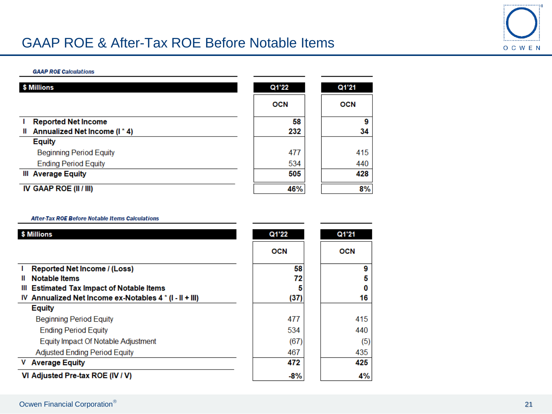## GAAP ROE & After-Tax ROE Before Notable Items



#### **GAAP ROE Calculations**

| \$ Millions                      | Q1'22      | Q1'21      |
|----------------------------------|------------|------------|
|                                  | <b>OCN</b> | <b>OCN</b> |
| <b>Reported Net Income</b>       | 58         | 9          |
| Annualized Net Income (I*4)<br>Ш | 232        | 34         |
| <b>Equity</b>                    |            |            |
| <b>Beginning Period Equity</b>   | 477        | 415        |
| <b>Ending Period Equity</b>      | 534        | 440        |
| <b>III</b> Average Equity        | 505        | 428        |
| IV GAAP ROE (II / III)           | 46%        | 8%         |

#### **After-Tax ROE Before Notable Items Calculations**

| \$ Millions                                             | Q1'22      | Q1'21      |
|---------------------------------------------------------|------------|------------|
|                                                         | <b>OCN</b> | <b>OCN</b> |
| Reported Net Income / (Loss)                            | 58         | 9          |
| <b>Notable Items</b><br>Ш                               | 72         | 5          |
| <b>Estimated Tax Impact of Notable Items</b><br>Ш       |            | 0          |
| IV Annualized Net Income ex-Notables 4 * (I - II + III) | (37)       | 16         |
| <b>Equity</b>                                           |            |            |
| <b>Beginning Period Equity</b>                          | 477        | 415        |
| <b>Ending Period Equity</b>                             | 534        | 440        |
| Equity Impact Of Notable Adjustment                     | (67)       | (5)        |
| <b>Adjusted Ending Period Equity</b>                    | 467        | 435        |
| V Average Equity                                        | 472        | 425        |
| VI Adjusted Pre-tax ROE (IV / V)                        | $-8%$      | 4%         |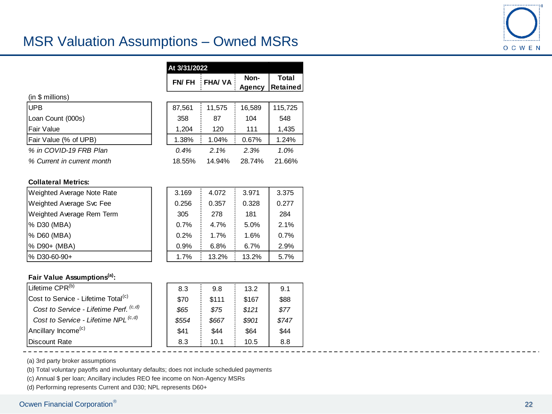## MSR Valuation Assumptions – Owned MSRs



|                            | At 3/31/2022 |               |                       |                   |  |
|----------------------------|--------------|---------------|-----------------------|-------------------|--|
|                            | FN/FH        | <b>FHA/VA</b> | Non-<br><b>Agency</b> | Total<br>Retained |  |
| (in \$ millions)           |              |               |                       |                   |  |
| <b>UPB</b>                 | 87,561       | 11.575        | 16,589                | 115,725           |  |
| Loan Count (000s)          | 358          | 87            | 104                   | 548               |  |
| Fair Value                 | 1,204        | 120           | 111                   | 1,435             |  |
| Fair Value (% of UPB)      | 1.38%        | 1.04%         | 0.67%                 | 1.24%             |  |
| % in COVID-19 FRB Plan     | 0.4%         | 2.1%          | 2.3%                  | 1.0%              |  |
| % Current in current month | 18.55%       | 14.94%        | 28.74%                | 21.66%            |  |

#### **Collateral Metrics:**

| Weighted Average Note Rate | 3.169 | 4.072 | 3.971 | 3.375 |
|----------------------------|-------|-------|-------|-------|
| Weighted Average Svc Fee   | 0.256 | 0.357 | 0.328 | 0.277 |
| Weighted Average Rem Term  | 305   | 278   | 181   | 284   |
| % D30 (MBA)                | 0.7%  | 4.7%  | 5.0%  | 2.1%  |
| % D60 (MBA)                | 0.2%  | 1.7%  | 1.6%  | 0.7%  |
| % D90+ (MBA)               | 0.9%  | 6.8%  | 6.7%  | 2.9%  |
| %D30-60-90+                | 1.7%  | 13.2% | 13.2% | 5.7%  |

#### **Fair Value Assumptions(a):**

| Lifetime CPR <sup>(b)</sup>                       | 8.3   | 9.8   | 13.2  | 9.1   |
|---------------------------------------------------|-------|-------|-------|-------|
| Cost to Service - Lifetime Total <sup>(c)</sup>   | \$70  | \$111 | \$167 | \$88  |
| Cost to Service - Lifetime Perf. <sup>(c,d)</sup> | \$65  | \$75  | \$121 | \$77  |
| Cost to Service - Lifetime NPL <sup>(c,d)</sup>   | \$554 | \$667 | \$901 | \$747 |
| Ancillary Income <sup>(c)</sup>                   | \$41  | \$44  | \$64  | \$44  |
| Discount Rate                                     | 8.3   | 10.1  | 10.5  | 8.8   |

(a) 3rd party broker assumptions

(b) Total voluntary payoffs and involuntary defaults; does not include scheduled payments

(c) Annual \$ per loan; Ancillary includes REO fee income on Non-Agency MSRs

(d) Performing represents Current and D30; NPL represents D60+

### Ocwen Financial Corporation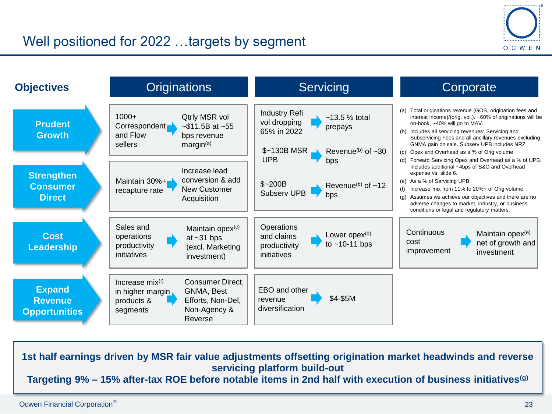



**1st half earnings driven by MSR fair value adjustments offsetting origination market headwinds and reverse servicing platform build-out Targeting 9% – 15% after-tax ROE before notable items in 2nd half with execution of business initiatives(g)**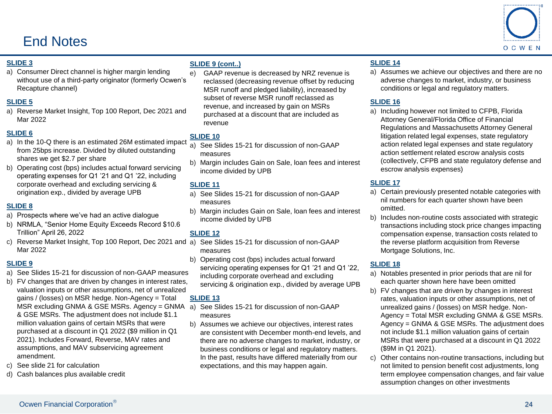## End Notes



#### **SLIDE 3**

a) Consumer Direct channel is higher margin lending without use of a third-party originator (formerly Ocwen's Recapture channel)

#### **SLIDE 5**

a) Reverse Market Insight, Top 100 Report, Dec 2021 and Mar 2022

#### **SLIDE 6**

- a) In the 10-Q there is an estimated 26M estimated impact from 25bps increase. Divided by diluted outstanding shares we get \$2.7 per share
- b) Operating cost (bps) includes actual forward servicing operating expenses for Q1 '21 and Q1 '22, including corporate overhead and excluding servicing & origination exp., divided by average UPB

#### **SLIDE 8**

- a) Prospects where we've had an active dialogue
- b) NRMLA, "Senior Home Equity Exceeds Record \$10.6 Trillion" April 26, 2022
- c) Reverse Market Insight, Top 100 Report, Dec 2021 and Mar 2022

#### **SLIDE 9**

- a) See Slides 15-21 for discussion of non-GAAP measures
- b) FV changes that are driven by changes in interest rates, valuation inputs or other assumptions, net of unrealized gains / (losses) on MSR hedge. Non-Agency = Total MSR excluding GNMA & GSE MSRs. Agency = GNMA a) See Slides 15-21 for discussion of non-GAAP & GSE MSRs. The adjustment does not include \$1.1 million valuation gains of certain MSRs that were purchased at a discount in Q1 2022 (\$9 million in Q1 2021). Includes Forward, Reverse, MAV rates and assumptions, and MAV subservicing agreement amendment.
- c) See slide 21 for calculation
- d) Cash balances plus available credit

#### **SLIDE 9 (cont..)**

e) GAAP revenue is decreased by NRZ revenue is reclassed (decreasing revenue offset by reducing MSR runoff and pledged liability), increased by subset of reverse MSR runoff reclassed as revenue, and increased by gain on MSRs purchased at a discount that are included as revenue

### **SLIDE 10**

- a) See Slides 15-21 for discussion of non-GAAP measures
- b) Margin includes Gain on Sale, loan fees and interest income divided by UPB

#### **SLIDE 11**

- a) See Slides 15-21 for discussion of non-GAAP measures
- b) Margin includes Gain on Sale, loan fees and interest income divided by UPB

#### **SLIDE 12**

- See Slides 15-21 for discussion of non-GAAP measures
- b) Operating cost (bps) includes actual forward servicing operating expenses for Q1 '21 and Q1 '22, including corporate overhead and excluding servicing & origination exp., divided by average UPB

#### **SLIDE 13**

- measures
- b) Assumes we achieve our objectives, interest rates are consistent with December month-end levels, and there are no adverse changes to market, industry, or business conditions or legal and regulatory matters. In the past, results have differed materially from our expectations, and this may happen again.

### **SLIDE 14**

a) Assumes we achieve our objectives and there are no adverse changes to market, industry, or business conditions or legal and regulatory matters.

#### **SLIDE 16**

a) Including however not limited to CFPB, Florida Attorney General/Florida Office of Financial Regulations and Massachusetts Attorney General litigation related legal expenses, state regulatory action related legal expenses and state regulatory action settlement related escrow analysis costs (collectively, CFPB and state regulatory defense and escrow analysis expenses)

#### **SLIDE 17**

- a) Certain previously presented notable categories with nil numbers for each quarter shown have been omitted.
- b) Includes non-routine costs associated with strategic transactions including stock price changes impacting compensation expense, transaction costs related to the reverse platform acquisition from Reverse Mortgage Solutions, Inc.

#### **SLIDE 18**

- a) Notables presented in prior periods that are nil for each quarter shown here have been omitted
- b) FV changes that are driven by changes in interest rates, valuation inputs or other assumptions, net of unrealized gains / (losses) on MSR hedge. Non-Agency = Total MSR excluding GNMA & GSE MSRs. Agency = GNMA & GSE MSRs. The adjustment does not include \$1.1 million valuation gains of certain MSRs that were purchased at a discount in Q1 2022 (\$9M in Q1 2021).
- c) Other contains non-routine transactions, including but not limited to pension benefit cost adjustments, long term employee compensation changes, and fair value assumption changes on other investments